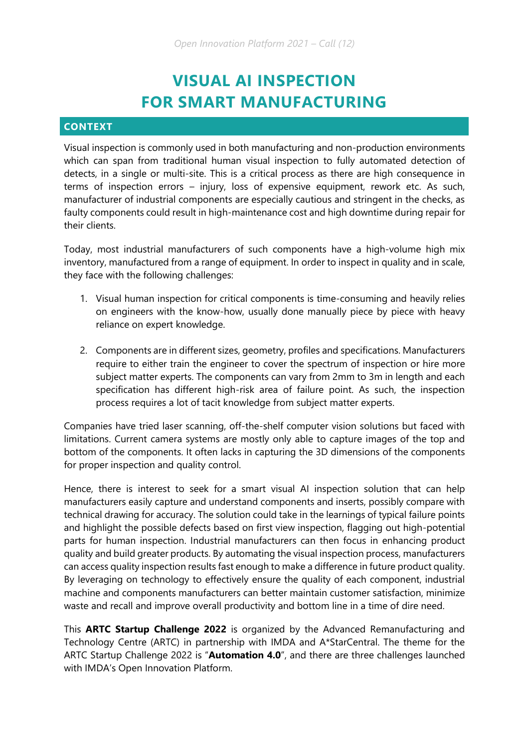# **VISUAL AI INSPECTION FOR SMART MANUFACTURING**

## **CONTEXT**

Visual inspection is commonly used in both manufacturing and non-production environments which can span from traditional human visual inspection to fully automated detection of detects, in a single or multi-site. This is a critical process as there are high consequence in terms of inspection errors – injury, loss of expensive equipment, rework etc. As such, manufacturer of industrial components are especially cautious and stringent in the checks, as faulty components could result in high-maintenance cost and high downtime during repair for their clients.

Today, most industrial manufacturers of such components have a high-volume high mix inventory, manufactured from a range of equipment. In order to inspect in quality and in scale, they face with the following challenges:

- 1. Visual human inspection for critical components is time-consuming and heavily relies on engineers with the know-how, usually done manually piece by piece with heavy reliance on expert knowledge.
- 2. Components are in different sizes, geometry, profiles and specifications. Manufacturers require to either train the engineer to cover the spectrum of inspection or hire more subject matter experts. The components can vary from 2mm to 3m in length and each specification has different high-risk area of failure point. As such, the inspection process requires a lot of tacit knowledge from subject matter experts.

Companies have tried laser scanning, off-the-shelf computer vision solutions but faced with limitations. Current camera systems are mostly only able to capture images of the top and bottom of the components. It often lacks in capturing the 3D dimensions of the components for proper inspection and quality control.

Hence, there is interest to seek for a smart visual AI inspection solution that can help manufacturers easily capture and understand components and inserts, possibly compare with technical drawing for accuracy. The solution could take in the learnings of typical failure points and highlight the possible defects based on first view inspection, flagging out high-potential parts for human inspection. Industrial manufacturers can then focus in enhancing product quality and build greater products. By automating the visual inspection process, manufacturers can access quality inspection results fast enough to make a difference in future product quality. By leveraging on technology to effectively ensure the quality of each component, industrial machine and components manufacturers can better maintain customer satisfaction, minimize waste and recall and improve overall productivity and bottom line in a time of dire need.

This **ARTC Startup Challenge 2022** is organized by the Advanced Remanufacturing and Technology Centre (ARTC) in partnership with IMDA and A\*StarCentral. The theme for the ARTC Startup Challenge 2022 is "**Automation 4.0**", and there are three challenges launched with IMDA's Open Innovation Platform.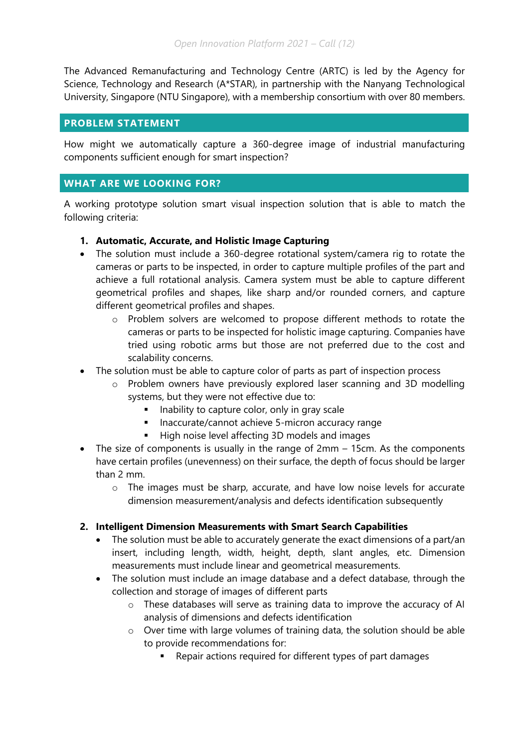The Advanced Remanufacturing and Technology Centre (ARTC) is led by the Agency for Science, Technology and Research (A\*STAR), in partnership with the Nanyang Technological University, Singapore (NTU Singapore), with a membership consortium with over 80 members.

#### **PROBLEM STATEMENT**

How might we automatically capture a 360-degree image of industrial manufacturing components sufficient enough for smart inspection?

## **WHAT ARE WE LOOKING FOR?**

A working prototype solution smart visual inspection solution that is able to match the following criteria:

- **1. Automatic, Accurate, and Holistic Image Capturing**
- The solution must include a 360-degree rotational system/camera rig to rotate the cameras or parts to be inspected, in order to capture multiple profiles of the part and achieve a full rotational analysis. Camera system must be able to capture different geometrical profiles and shapes, like sharp and/or rounded corners, and capture different geometrical profiles and shapes.
	- o Problem solvers are welcomed to propose different methods to rotate the cameras or parts to be inspected for holistic image capturing. Companies have tried using robotic arms but those are not preferred due to the cost and scalability concerns.
- The solution must be able to capture color of parts as part of inspection process
	- o Problem owners have previously explored laser scanning and 3D modelling systems, but they were not effective due to:
		- Inability to capture color, only in gray scale
		- **Inaccurate/cannot achieve 5-micron accuracy range**
		- High noise level affecting 3D models and images
- The size of components is usually in the range of 2mm 15cm. As the components have certain profiles (unevenness) on their surface, the depth of focus should be larger than 2 mm.
	- o The images must be sharp, accurate, and have low noise levels for accurate dimension measurement/analysis and defects identification subsequently

## **2. Intelligent Dimension Measurements with Smart Search Capabilities**

- The solution must be able to accurately generate the exact dimensions of a part/an insert, including length, width, height, depth, slant angles, etc. Dimension measurements must include linear and geometrical measurements.
- The solution must include an image database and a defect database, through the collection and storage of images of different parts
	- o These databases will serve as training data to improve the accuracy of AI analysis of dimensions and defects identification
	- o Over time with large volumes of training data, the solution should be able to provide recommendations for:
		- Repair actions required for different types of part damages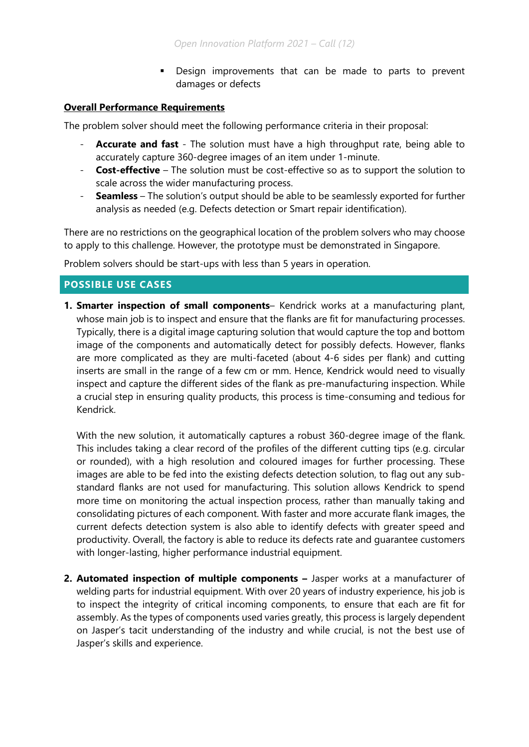**Design improvements that can be made to parts to prevent** damages or defects

#### **Overall Performance Requirements**

The problem solver should meet the following performance criteria in their proposal:

- **Accurate and fast** The solution must have a high throughput rate, being able to accurately capture 360-degree images of an item under 1-minute.
- **Cost-effective** The solution must be cost-effective so as to support the solution to scale across the wider manufacturing process.
- **Seamless** The solution's output should be able to be seamlessly exported for further analysis as needed (e.g. Defects detection or Smart repair identification).

There are no restrictions on the geographical location of the problem solvers who may choose to apply to this challenge. However, the prototype must be demonstrated in Singapore.

Problem solvers should be start-ups with less than 5 years in operation.

## **POSSIBLE USE CASES**

**1. Smarter inspection of small components**– Kendrick works at a manufacturing plant, whose main job is to inspect and ensure that the flanks are fit for manufacturing processes. Typically, there is a digital image capturing solution that would capture the top and bottom image of the components and automatically detect for possibly defects. However, flanks are more complicated as they are multi-faceted (about 4-6 sides per flank) and cutting inserts are small in the range of a few cm or mm. Hence, Kendrick would need to visually inspect and capture the different sides of the flank as pre-manufacturing inspection. While a crucial step in ensuring quality products, this process is time-consuming and tedious for Kendrick.

With the new solution, it automatically captures a robust 360-degree image of the flank. This includes taking a clear record of the profiles of the different cutting tips (e.g. circular or rounded), with a high resolution and coloured images for further processing. These images are able to be fed into the existing defects detection solution, to flag out any substandard flanks are not used for manufacturing. This solution allows Kendrick to spend more time on monitoring the actual inspection process, rather than manually taking and consolidating pictures of each component. With faster and more accurate flank images, the current defects detection system is also able to identify defects with greater speed and productivity. Overall, the factory is able to reduce its defects rate and guarantee customers with longer-lasting, higher performance industrial equipment.

**2. Automated inspection of multiple components –** Jasper works at a manufacturer of welding parts for industrial equipment. With over 20 years of industry experience, his job is to inspect the integrity of critical incoming components, to ensure that each are fit for assembly. As the types of components used varies greatly, this process is largely dependent on Jasper's tacit understanding of the industry and while crucial, is not the best use of Jasper's skills and experience.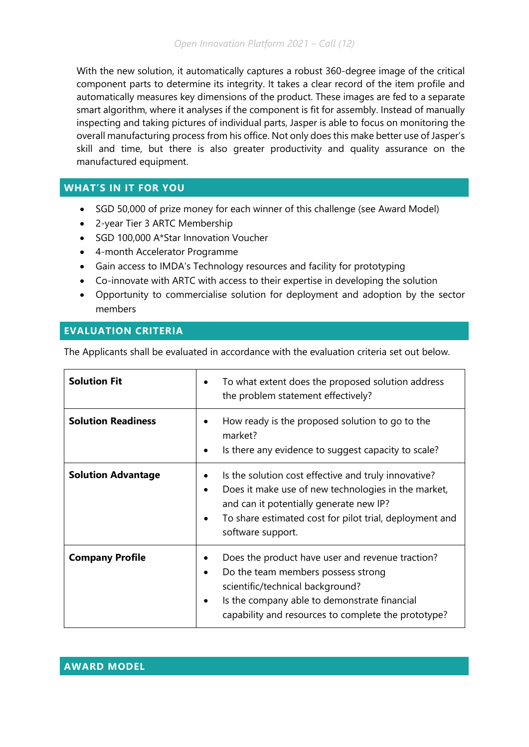With the new solution, it automatically captures a robust 360-degree image of the critical component parts to determine its integrity. It takes a clear record of the item profile and automatically measures key dimensions of the product. These images are fed to a separate smart algorithm, where it analyses if the component is fit for assembly. Instead of manually inspecting and taking pictures of individual parts, Jasper is able to focus on monitoring the overall manufacturing process from his office. Not only does this make better use of Jasper's skill and time, but there is also greater productivity and quality assurance on the manufactured equipment.

# **WHAT'S IN IT FOR YOU**

- SGD 50,000 of prize money for each winner of this challenge (see Award Model)
- 2-year Tier 3 ARTC Membership
- SGD 100,000 A\*Star Innovation Voucher
- 4-month Accelerator Programme
- Gain access to IMDA's Technology resources and facility for prototyping
- Co-innovate with ARTC with access to their expertise in developing the solution
- Opportunity to commercialise solution for deployment and adoption by the sector members

#### **EVALUATION CRITERIA**

The Applicants shall be evaluated in accordance with the evaluation criteria set out below.

| <b>Solution Fit</b>       | To what extent does the proposed solution address<br>٠<br>the problem statement effectively?                                                                                                                                                        |
|---------------------------|-----------------------------------------------------------------------------------------------------------------------------------------------------------------------------------------------------------------------------------------------------|
| <b>Solution Readiness</b> | How ready is the proposed solution to go to the<br>market?<br>Is there any evidence to suggest capacity to scale?<br>$\bullet$                                                                                                                      |
| <b>Solution Advantage</b> | Is the solution cost effective and truly innovative?<br>Does it make use of new technologies in the market,<br>$\bullet$<br>and can it potentially generate new IP?<br>To share estimated cost for pilot trial, deployment and<br>software support. |
| <b>Company Profile</b>    | Does the product have user and revenue traction?<br>Do the team members possess strong<br>scientific/technical background?<br>Is the company able to demonstrate financial<br>$\bullet$<br>capability and resources to complete the prototype?      |